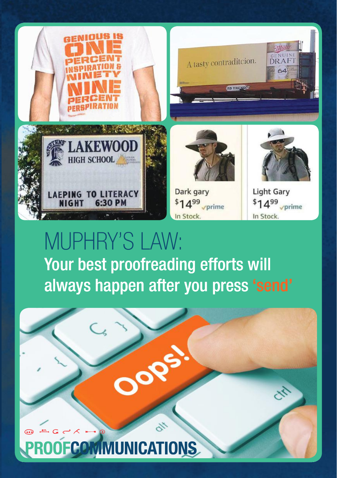

# MUPHRY'S LAW: Your best proofreading efforts will always happen after you press 'send'

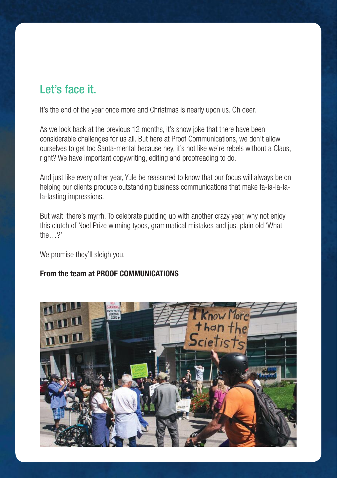## Let's face it.

It's the end of the year once more and Christmas is nearly upon us. Oh deer.

As we look back at the previous 12 months, it's snow joke that there have been considerable challenges for us all. But here at Proof Communications, we don't allow ourselves to get too Santa-mental because hey, it's not like we're rebels without a Claus, right? We have important copywriting, editing and proofreading to do.

And just like every other year, Yule be reassured to know that our focus will always be on helping our clients produce outstanding business communications that make fa-la-la-lala-lasting impressions.

But wait, there's myrrh. To celebrate pudding up with another crazy year, why not enjoy this clutch of Noel Prize winning typos, grammatical mistakes and just plain old 'What the…?'

We promise they'll sleigh you.

#### From the team at PROOF COMMUNICATIONS

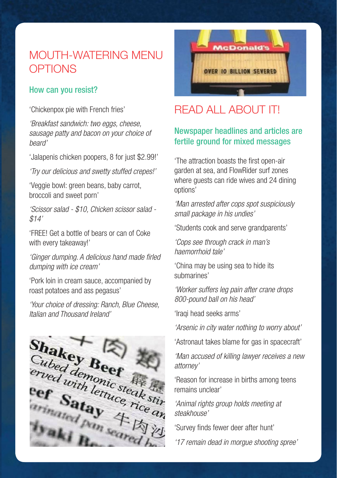### MOUTH-WATERING MENU **OPTIONS**

#### How can you resist?

'Chickenpox pie with French fries'

*'Breakfast sandwich: two eggs, cheese, sausage patty and bacon on your choice of beard'*

'Jalapenis chicken poopers, 8 for just \$2.99!'

*'Try our delicious and swetty stuffed crepes!'*

'Veggie bowl: green beans, baby carrot, broccoli and sweet porn'

*'Scissor salad - \$10, Chicken scissor salad - \$14'*

'FREE! Get a bottle of bears or can of Coke with every takeaway!'

*'Ginger dumping. A delicious hand made firled dumping with ice cream'*

'Pork loin in cream sauce, accompanied by roast potatoes and ass pegasus'

*'Your choice of dressing: Ranch, Blue Cheese, Italian and Thousand Ireland'*





# READ ALL ABOUT IT!

#### Newspaper headlines and articles are fertile ground for mixed messages

'The attraction boasts the first open-air garden at sea, and FlowRider surf zones where guests can ride wives and 24 dining options'

*'Man arrested after cops spot suspiciously small package in his undies'* 

'Students cook and serve grandparents'

*'Cops see through crack in man's haemorrhoid tale'* 

'China may be using sea to hide its submarines'

*'Worker suffers leg pain after crane drops 800-pound ball on his head'*

'Iraqi head seeks arms'

*'Arsenic in city water nothing to worry about'*

'Astronaut takes blame for gas in spacecraft'

*'Man accused of killing lawyer receives a new attorney'*

'Reason for increase in births among teens remains unclear'

*'Animal rights group holds meeting at steakhouse'*

'Survey finds fewer deer after hunt'

*'17 remain dead in morgue shooting spree'*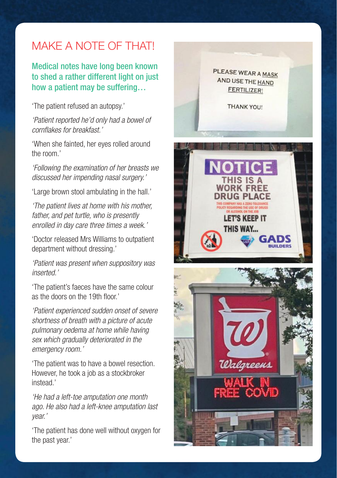# MAKE A NOTE OF THAT!

Medical notes have long been known to shed a rather different light on just how a patient may be suffering…

'The patient refused an autopsy.'

*'Patient reported he'd only had a bowel of cornflakes for breakfast.'*

'When she fainted, her eyes rolled around the room.'

*'Following the examination of her breasts we discussed her impending nasal surgery.'*

'Large brown stool ambulating in the hall.'

*'The patient lives at home with his mother, father, and pet turtle, who is presently enrolled in day care three times a week.'* 

'Doctor released Mrs Williams to outpatient department without dressing.'

*'Patient was present when suppository was inserted.'*

'The patient's faeces have the same colour as the doors on the 19th floor.'

*'Patient experienced sudden onset of severe shortness of breath with a picture of acute pulmonary oedema at home while having sex which gradually deteriorated in the emergency room.'*

'The patient was to have a bowel resection. However, he took a job as a stockbroker instead.'

*'He had a left-toe amputation one month ago. He also had a left-knee amputation last year.'*

'The patient has done well without oxygen for the past year.'

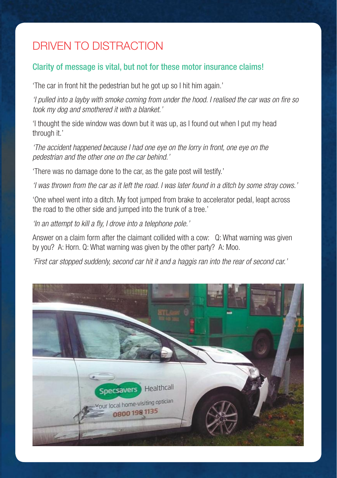# DRIVEN TO DISTRACTION

#### Clarity of message is vital, but not for these motor insurance claims!

'The car in front hit the pedestrian but he got up so I hit him again.'

*'I pulled into a layby with smoke coming from under the hood. I realised the car was on fire so took my dog and smothered it with a blanket.'*

'I thought the side window was down but it was up, as I found out when I put my head through it.'

*'The accident happened because I had one eye on the lorry in front, one eye on the pedestrian and the other one on the car behind.'*

'There was no damage done to the car, as the gate post will testify.'

*'I was thrown from the car as it left the road. I was later found in a ditch by some stray cows.'*

'One wheel went into a ditch. My foot jumped from brake to accelerator pedal, leapt across the road to the other side and jumped into the trunk of a tree.'

*'In an attempt to kill a fly, I drove into a telephone pole.'*

Answer on a claim form after the claimant collided with a cow: Q: What warning was given by you? A: Horn. Q: What warning was given by the other party? A: Moo.

*'First car stopped suddenly, second car hit it and a haggis ran into the rear of second car.'*

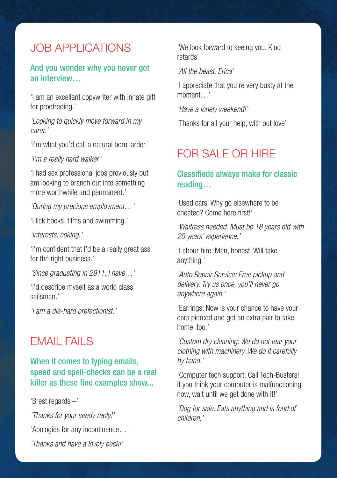### JOB APPLICATIONS

#### And you wonder why you never got an interview…

'I am an excellant copywriter with innate gift for proofreding.'

*'Looking to quickly move forward in my carer.'*

'I'm what you'd call a natural born larder.'

*'I'm a really hard walker.'*

'I had sex professional jobs previously but am looking to branch out into something more worthwhile and permanent.'

*'During my precious employment…'*

'I lick books, films and swimming.'

*'Interests: coking.'* 

'I'm confident that I'd be a really great ass for the right business.'

*'Since graduating in 2911, I have…'*

'I'd describe myself as a world class sailsman.'

*'I am a die-hard prefectionist.'*

### EMAIL FAILS

#### When it comes to typing emails, speed and spell-checks can be a real killer as these fine examples show...

'Brest regards –'

*'Thanks for your seedy reply!'* 'Apologies for any incontinence…'

*'Thanks and have a lovely eeek!'*

'We look forward to seeing you. Kind retards'

*'All the beast, Erica'*

'I appreciate that you're very busty at the moment "

*'Have a lonely weekend!'*

'Thanks for all your help, with out love'

### FOR SALE OR HIRE

#### Classifieds always make for classic reading…

'Used cars: Why go elsewhere to be cheated? Come here first!'

*'Waitress needed: Must be 18 years old with 20 years' experience.'*

'Labour hire: Man, honest. Will take anything.'

*'Auto Repair Service: Free pickup and delivery. Try us once, you'll never go anywhere again.'*

'Earrings: Now is your chance to have your ears pierced and get an extra pair to take home, too.'

*'Custom dry cleaning: We do not tear your clothing with machinery. We do it carefully by hand.'*

'Computer tech support: Call Tech-Busters! If you think your computer is malfunctioning now, wait until we get done with it!'

*'Dog for sale: Eats anything and is fond of children.'*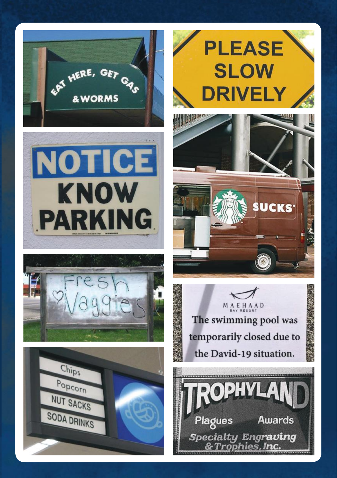



MAEHAAD The swimming pool was temporarily closed due to the David-19 situation.